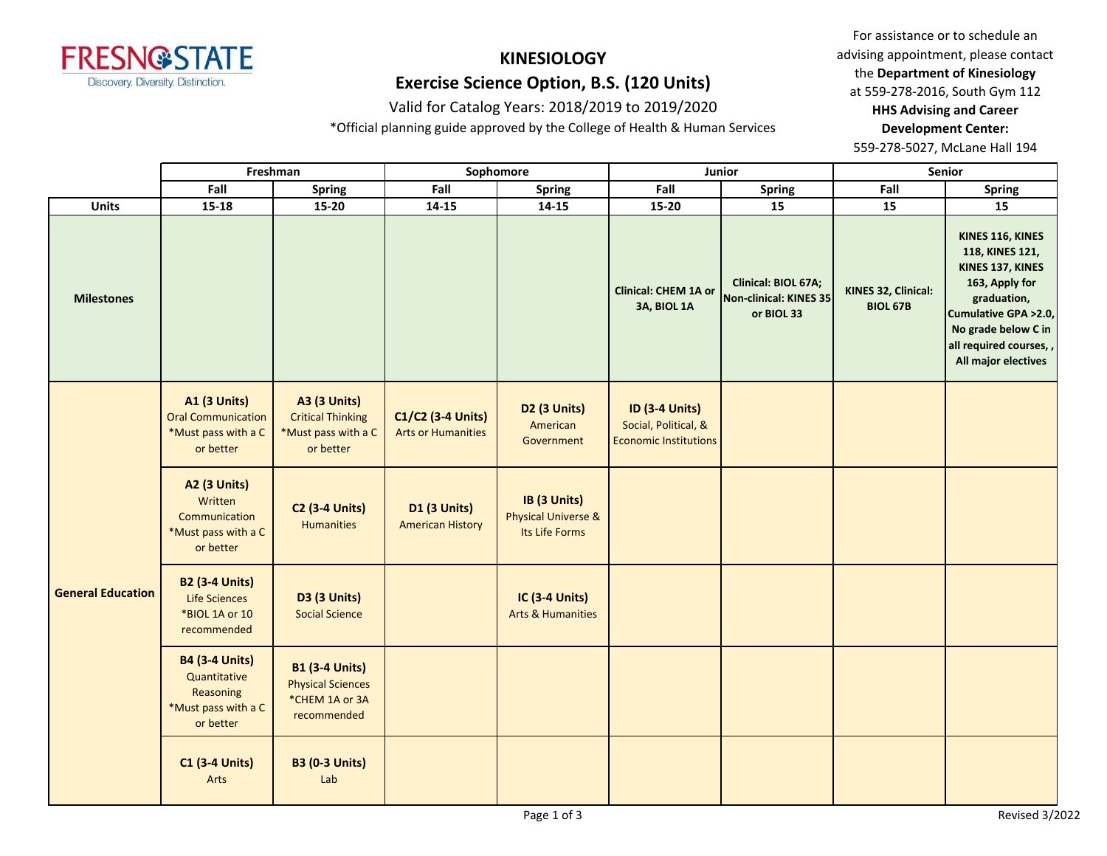

# **KINESIOLOGY**

# **Exercise Science Option, B.S. (120 Units)**

## Valid for Catalog Years: 2018/2019 to 2019/2020

\*Official planning guide approved by the College of Health & Human Services

For assistance or to schedule an advising appointment, please contact the **Department of Kinesiology** at 559-278-2016, South Gym 112 **HHS Advising and Career Development Center:** 

|                          |                                                                                        | Freshman                                                                            |                                                | Sophomore                                                        |                                                                               | Junior                                                      |                                        | Senior                                                                                                                                                                                    |
|--------------------------|----------------------------------------------------------------------------------------|-------------------------------------------------------------------------------------|------------------------------------------------|------------------------------------------------------------------|-------------------------------------------------------------------------------|-------------------------------------------------------------|----------------------------------------|-------------------------------------------------------------------------------------------------------------------------------------------------------------------------------------------|
|                          | Fall                                                                                   | <b>Spring</b>                                                                       | Fall                                           | <b>Spring</b>                                                    | Fall                                                                          | <b>Spring</b>                                               | Fall                                   | <b>Spring</b>                                                                                                                                                                             |
| <b>Units</b>             | $15 - 18$                                                                              | $15 - 20$                                                                           | $14 - 15$                                      | $14 - 15$                                                        | $15 - 20$                                                                     | 15                                                          | 15                                     | 15                                                                                                                                                                                        |
| <b>Milestones</b>        |                                                                                        |                                                                                     |                                                |                                                                  | <b>Clinical: CHEM 1A or</b><br>3A, BIOL 1A                                    | Clinical: BIOL 67A;<br>Non-clinical: KINES 35<br>or BIOL 33 | KINES 32, Clinical:<br><b>BIOL 67B</b> | KINES 116, KINES<br>118, KINES 121,<br>KINES 137, KINES<br>163, Apply for<br>graduation,<br>Cumulative GPA > 2.0,<br>No grade below C in<br>all required courses,,<br>All major electives |
| <b>General Education</b> | <b>A1 (3 Units)</b><br><b>Oral Communication</b><br>*Must pass with a C<br>or better   | <b>A3 (3 Units)</b><br><b>Critical Thinking</b><br>*Must pass with a C<br>or better | C1/C2 (3-4 Units)<br><b>Arts or Humanities</b> | D <sub>2</sub> (3 Units)<br>American<br>Government               | <b>ID (3-4 Units)</b><br>Social, Political, &<br><b>Economic Institutions</b> |                                                             |                                        |                                                                                                                                                                                           |
|                          | <b>A2 (3 Units)</b><br>Written<br>Communication<br>*Must pass with a C<br>or better    | <b>C2 (3-4 Units)</b><br>Humanities                                                 | <b>D1 (3 Units)</b><br><b>American History</b> | IB (3 Units)<br><b>Physical Universe &amp;</b><br>Its Life Forms |                                                                               |                                                             |                                        |                                                                                                                                                                                           |
|                          | <b>B2 (3-4 Units)</b><br>Life Sciences<br>*BIOL 1A or 10<br>recommended                | <b>D3 (3 Units)</b><br><b>Social Science</b>                                        |                                                | <b>IC (3-4 Units)</b><br><b>Arts &amp; Humanities</b>            |                                                                               |                                                             |                                        |                                                                                                                                                                                           |
|                          | <b>B4 (3-4 Units)</b><br>Quantitative<br>Reasoning<br>*Must pass with a C<br>or better | <b>B1 (3-4 Units)</b><br><b>Physical Sciences</b><br>*CHEM 1A or 3A<br>recommended  |                                                |                                                                  |                                                                               |                                                             |                                        |                                                                                                                                                                                           |
|                          | <b>C1 (3-4 Units)</b><br>Arts                                                          | <b>B3 (0-3 Units)</b><br>Lab                                                        |                                                |                                                                  |                                                                               |                                                             |                                        |                                                                                                                                                                                           |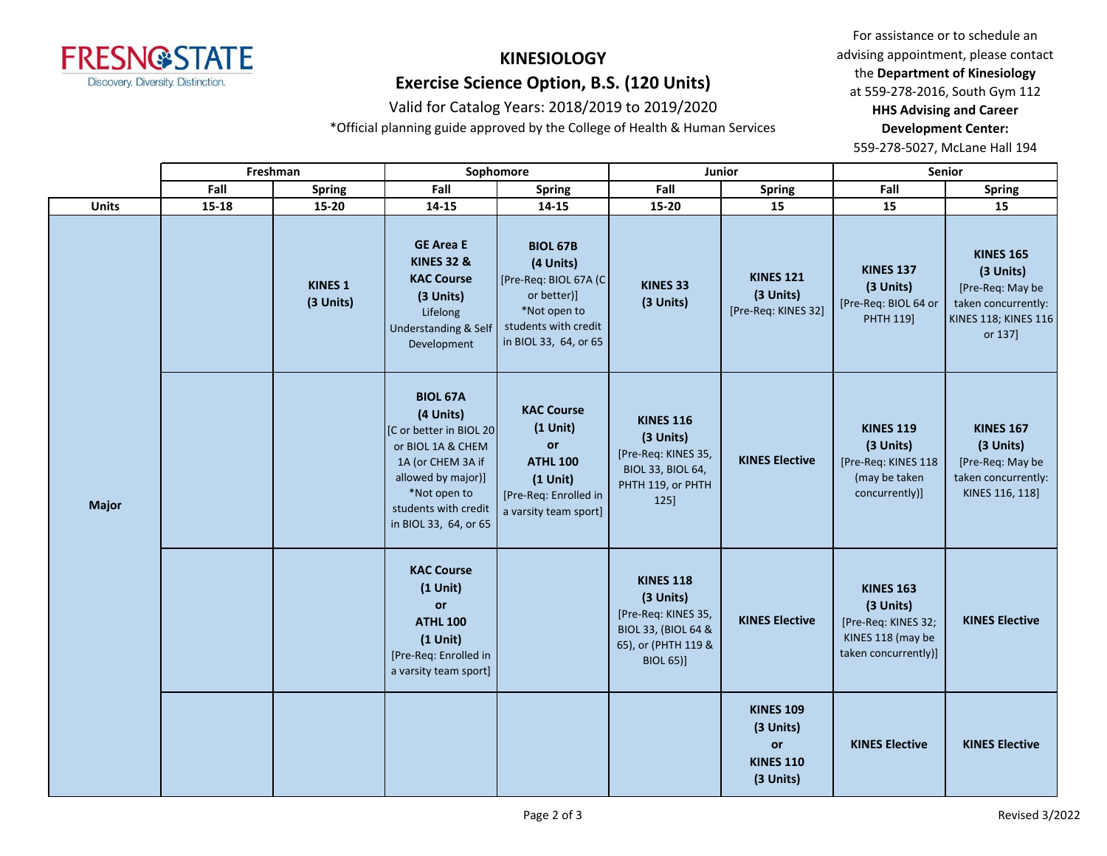

# **KINESIOLOGY**

# **Exercise Science Option, B.S. (120 Units)**

## Valid for Catalog Years: 2018/2019 to 2019/2020

\*Official planning guide approved by the College of Health & Human Services

For assistance or to schedule an advising appointment, please contact the **Department of Kinesiology** at 559-278-2016, South Gym 112 **HHS Advising and Career** 

#### **Development Center:**

|              | Freshman  |                             |                                                                                                                                                                                           | Sophomore                                                                                                                             |                                                                                                                                   | Junior                                                               |                                                                                                   | Senior                                                                                                             |
|--------------|-----------|-----------------------------|-------------------------------------------------------------------------------------------------------------------------------------------------------------------------------------------|---------------------------------------------------------------------------------------------------------------------------------------|-----------------------------------------------------------------------------------------------------------------------------------|----------------------------------------------------------------------|---------------------------------------------------------------------------------------------------|--------------------------------------------------------------------------------------------------------------------|
|              | Fall      | <b>Spring</b>               | Fall                                                                                                                                                                                      | <b>Spring</b>                                                                                                                         | Fall                                                                                                                              | <b>Spring</b>                                                        | Fall                                                                                              | <b>Spring</b>                                                                                                      |
| <b>Units</b> | $15 - 18$ | 15-20                       | 14-15                                                                                                                                                                                     | $14 - 15$                                                                                                                             | 15-20                                                                                                                             | 15                                                                   | 15                                                                                                | 15                                                                                                                 |
|              |           | <b>KINES 1</b><br>(3 Units) | <b>GE Area E</b><br><b>KINES 32 &amp;</b><br><b>KAC Course</b><br>(3 Units)<br>Lifelong<br>Understanding & Self<br>Development                                                            | <b>BIOL 67B</b><br>(4 Units)<br>[Pre-Req: BIOL 67A (C<br>or better)]<br>*Not open to<br>students with credit<br>in BIOL 33, 64, or 65 | KINES 33<br>(3 Units)                                                                                                             | <b>KINES 121</b><br>(3 Units)<br>[Pre-Req: KINES 32]                 | <b>KINES 137</b><br>(3 Units)<br>[Pre-Req: BIOL 64 or<br>PHTH 119]                                | <b>KINES 165</b><br>(3 Units)<br>[Pre-Req: May be<br>taken concurrently:<br><b>KINES 118; KINES 116</b><br>or 137] |
| <b>Major</b> |           |                             | <b>BIOL 67A</b><br>(4 Units)<br>[C or better in BIOL 20]<br>or BIOL 1A & CHEM<br>1A (or CHEM 3A if<br>allowed by major)]<br>*Not open to<br>students with credit<br>in BIOL 33, 64, or 65 | <b>KAC Course</b><br>$(1$ Unit)<br>or<br><b>ATHL 100</b><br>$(1$ Unit)<br>[Pre-Req: Enrolled in<br>a varsity team sport]              | <b>KINES 116</b><br>(3 Units)<br>[Pre-Req: KINES 35,<br>BIOL 33, BIOL 64,<br>PHTH 119, or PHTH<br>125]                            | <b>KINES Elective</b>                                                | <b>KINES 119</b><br>(3 Units)<br>[Pre-Req: KINES 118<br>(may be taken<br>concurrently)]           | <b>KINES 167</b><br>(3 Units)<br>[Pre-Req: May be<br>taken concurrently:<br>KINES 116, 118]                        |
|              |           |                             | <b>KAC Course</b><br>$(1$ Unit)<br>or<br><b>ATHL 100</b><br>$(1$ Unit)<br>[Pre-Req: Enrolled in<br>a varsity team sport]                                                                  |                                                                                                                                       | <b>KINES 118</b><br>(3 Units)<br>[Pre-Req: KINES 35,<br><b>BIOL 33, (BIOL 64 &amp;</b><br>65), or (PHTH 119 &<br><b>BIOL 65)]</b> | <b>KINES Elective</b>                                                | <b>KINES 163</b><br>(3 Units)<br>[Pre-Req: KINES 32;<br>KINES 118 (may be<br>taken concurrently)] | <b>KINES Elective</b>                                                                                              |
|              |           |                             |                                                                                                                                                                                           |                                                                                                                                       |                                                                                                                                   | <b>KINES 109</b><br>(3 Units)<br>or<br><b>KINES 110</b><br>(3 Units) | <b>KINES Elective</b>                                                                             | <b>KINES Elective</b>                                                                                              |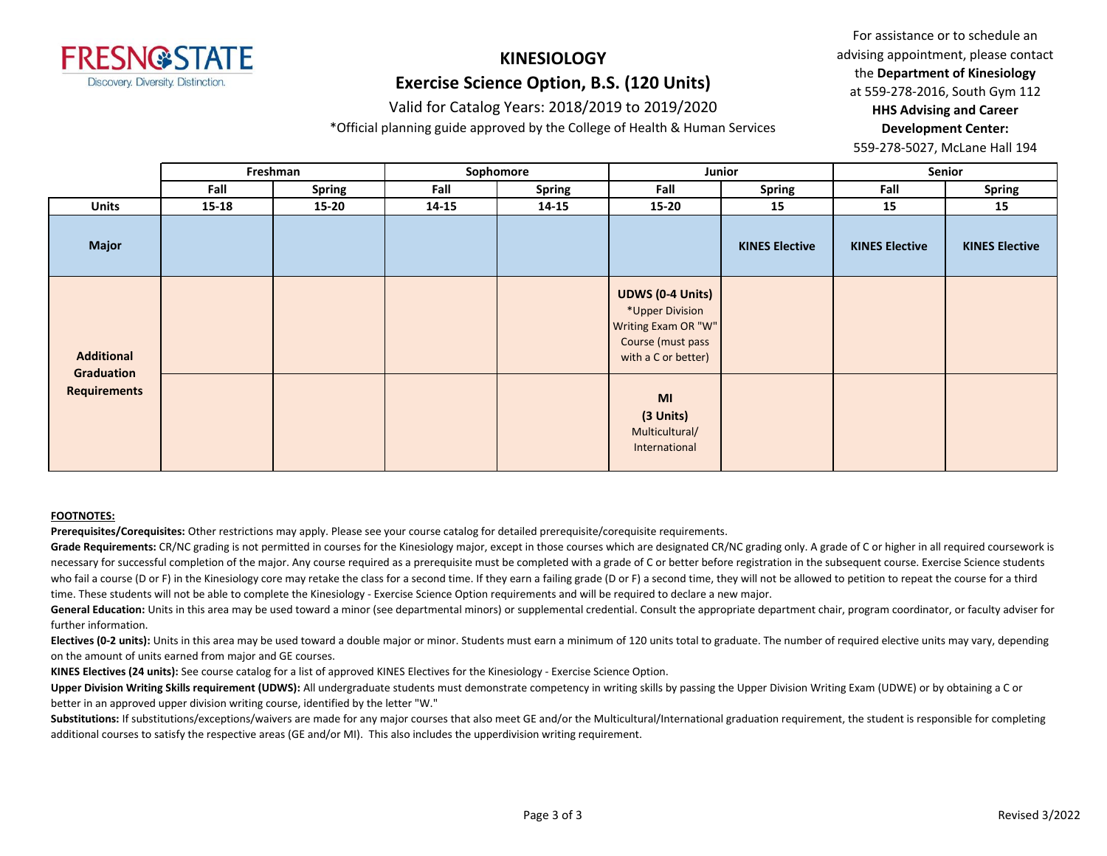

# **KINESIOLOGY**

# **Exercise Science Option, B.S. (120 Units)**

## Valid for Catalog Years: 2018/2019 to 2019/2020

\*Official planning guide approved by the College of Health & Human Services

For assistance or to schedule an advising appointment, please contact the **Department of Kinesiology** at 559-278-2016, South Gym 112 **HHS Advising and Career Development Center:** 

559-278-5027, McLane Hall 194

|                                   |       | Freshman      |       | Sophomore     |                                                                                                               | Junior                | Senior                |                       |
|-----------------------------------|-------|---------------|-------|---------------|---------------------------------------------------------------------------------------------------------------|-----------------------|-----------------------|-----------------------|
|                                   | Fall  | <b>Spring</b> | Fall  | <b>Spring</b> | Fall                                                                                                          | <b>Spring</b>         | Fall                  | Spring                |
| <b>Units</b>                      | 15-18 | 15-20         | 14-15 | 14-15         | 15-20                                                                                                         | 15                    | 15                    | 15                    |
| Major                             |       |               |       |               |                                                                                                               | <b>KINES Elective</b> | <b>KINES Elective</b> | <b>KINES Elective</b> |
| Additional                        |       |               |       |               | <b>UDWS (0-4 Units)</b><br>*Upper Division<br>Writing Exam OR "W"<br>Course (must pass<br>with a C or better) |                       |                       |                       |
| Graduation<br><b>Requirements</b> |       |               |       |               | MI<br>(3 Units)<br>Multicultural/<br>International                                                            |                       |                       |                       |

#### **FOOTNOTES:**

**Prerequisites/Corequisites:** Other restrictions may apply. Please see your course catalog for detailed prerequisite/corequisite requirements.

Grade Requirements: CR/NC grading is not permitted in courses for the Kinesiology major, except in those courses which are designated CR/NC grading only. A grade of C or higher in all required coursework is necessary for successful completion of the major. Any course required as a prerequisite must be completed with a grade of C or better before registration in the subsequent course. Exercise Science students who fail a course (D or F) in the Kinesiology core may retake the class for a second time. If they earn a failing grade (D or F) a second time, they will not be allowed to petition to repeat the course for a third time. These students will not be able to complete the Kinesiology - Exercise Science Option requirements and will be required to declare a new major.

General Education: Units in this area may be used toward a minor (see departmental minors) or supplemental credential. Consult the appropriate department chair, program coordinator, or faculty adviser for further information.

Electives (0-2 units): Units in this area may be used toward a double major or minor. Students must earn a minimum of 120 units total to graduate. The number of required elective units may vary, depending on the amount of units earned from major and GE courses.

**KINES Electives (24 units):** See course catalog for a list of approved KINES Electives for the Kinesiology - Exercise Science Option.

**Upper Division Writing Skills requirement (UDWS):** All undergraduate students must demonstrate competency in writing skills by passing the Upper Division Writing Exam (UDWE) or by obtaining a C or better in an approved upper division writing course, identified by the letter "W."

Substitutions: If substitutions/exceptions/waivers are made for any major courses that also meet GE and/or the Multicultural/International graduation requirement, the student is responsible for completing additional courses to satisfy the respective areas (GE and/or MI). This also includes the upperdivision writing requirement.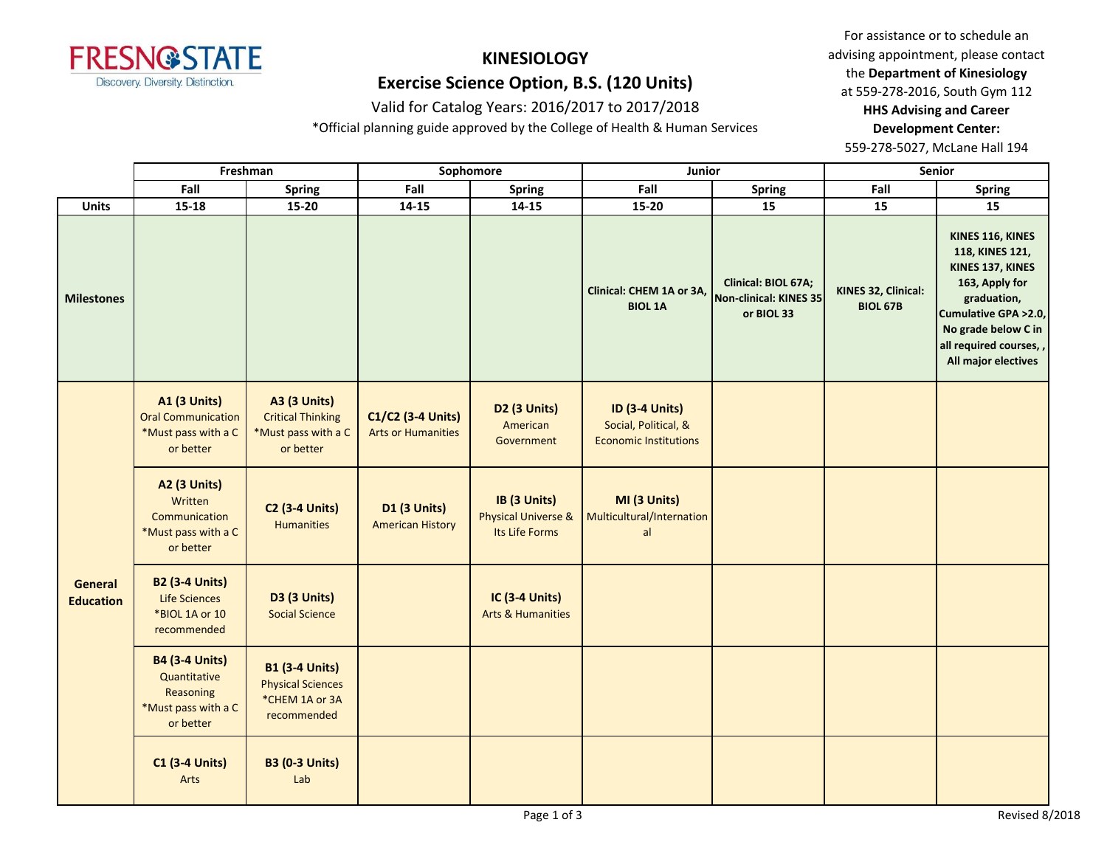

# **KINESIOLOGY Exercise Science Option, B.S. (120 Units)**

### Valid for Catalog Years: 2016/2017 to 2017/2018

\*Official planning guide approved by the College of Health & Human Services

For assistance or to schedule an advising appointment, please contact the **Department of Kinesiology** at 559-278-2016, South Gym 112 **HHS Advising and Career Development Center:** 

|                             | Freshman                                                                               |                                                                                     | Sophomore                                      |                                                                  | Junior                                                                        |                                                             |                                        | <b>Senior</b>                                                                                                                                                                             |
|-----------------------------|----------------------------------------------------------------------------------------|-------------------------------------------------------------------------------------|------------------------------------------------|------------------------------------------------------------------|-------------------------------------------------------------------------------|-------------------------------------------------------------|----------------------------------------|-------------------------------------------------------------------------------------------------------------------------------------------------------------------------------------------|
|                             | Fall                                                                                   | <b>Spring</b>                                                                       | Fall                                           | <b>Spring</b>                                                    | Fall                                                                          | <b>Spring</b>                                               | Fall                                   | <b>Spring</b>                                                                                                                                                                             |
| <b>Units</b>                | $15 - 18$                                                                              | $15 - 20$                                                                           | $14 - 15$                                      | $14 - 15$                                                        | $15 - 20$                                                                     | 15                                                          | 15                                     | 15                                                                                                                                                                                        |
| <b>Milestones</b>           |                                                                                        |                                                                                     |                                                |                                                                  | Clinical: CHEM 1A or 3A,<br><b>BIOL 1A</b>                                    | Clinical: BIOL 67A;<br>Non-clinical: KINES 35<br>or BIOL 33 | KINES 32, Clinical:<br><b>BIOL 67B</b> | KINES 116, KINES<br>118, KINES 121,<br>KINES 137, KINES<br>163, Apply for<br>graduation,<br>Cumulative GPA > 2.0,<br>No grade below C in<br>all required courses,,<br>All major electives |
| General<br><b>Education</b> | <b>A1 (3 Units)</b><br><b>Oral Communication</b><br>*Must pass with a C<br>or better   | <b>A3 (3 Units)</b><br><b>Critical Thinking</b><br>*Must pass with a C<br>or better | C1/C2 (3-4 Units)<br><b>Arts or Humanities</b> | D <sub>2</sub> (3 Units)<br>American<br>Government               | <b>ID (3-4 Units)</b><br>Social, Political, &<br><b>Economic Institutions</b> |                                                             |                                        |                                                                                                                                                                                           |
|                             | <b>A2 (3 Units)</b><br>Written<br>Communication<br>*Must pass with a C<br>or better    | <b>C2 (3-4 Units)</b><br><b>Humanities</b>                                          | D1 (3 Units)<br><b>American History</b>        | IB (3 Units)<br><b>Physical Universe &amp;</b><br>Its Life Forms | MI (3 Units)<br>Multicultural/Internation<br>al                               |                                                             |                                        |                                                                                                                                                                                           |
|                             | <b>B2 (3-4 Units)</b><br>Life Sciences<br>*BIOL 1A or 10<br>recommended                | <b>D3 (3 Units)</b><br><b>Social Science</b>                                        |                                                | <b>IC (3-4 Units)</b><br><b>Arts &amp; Humanities</b>            |                                                                               |                                                             |                                        |                                                                                                                                                                                           |
|                             | <b>B4 (3-4 Units)</b><br>Quantitative<br>Reasoning<br>*Must pass with a C<br>or better | <b>B1 (3-4 Units)</b><br><b>Physical Sciences</b><br>*CHEM 1A or 3A<br>recommended  |                                                |                                                                  |                                                                               |                                                             |                                        |                                                                                                                                                                                           |
|                             | <b>C1 (3-4 Units)</b><br>Arts                                                          | <b>B3 (0-3 Units)</b><br>Lab                                                        |                                                |                                                                  |                                                                               |                                                             |                                        |                                                                                                                                                                                           |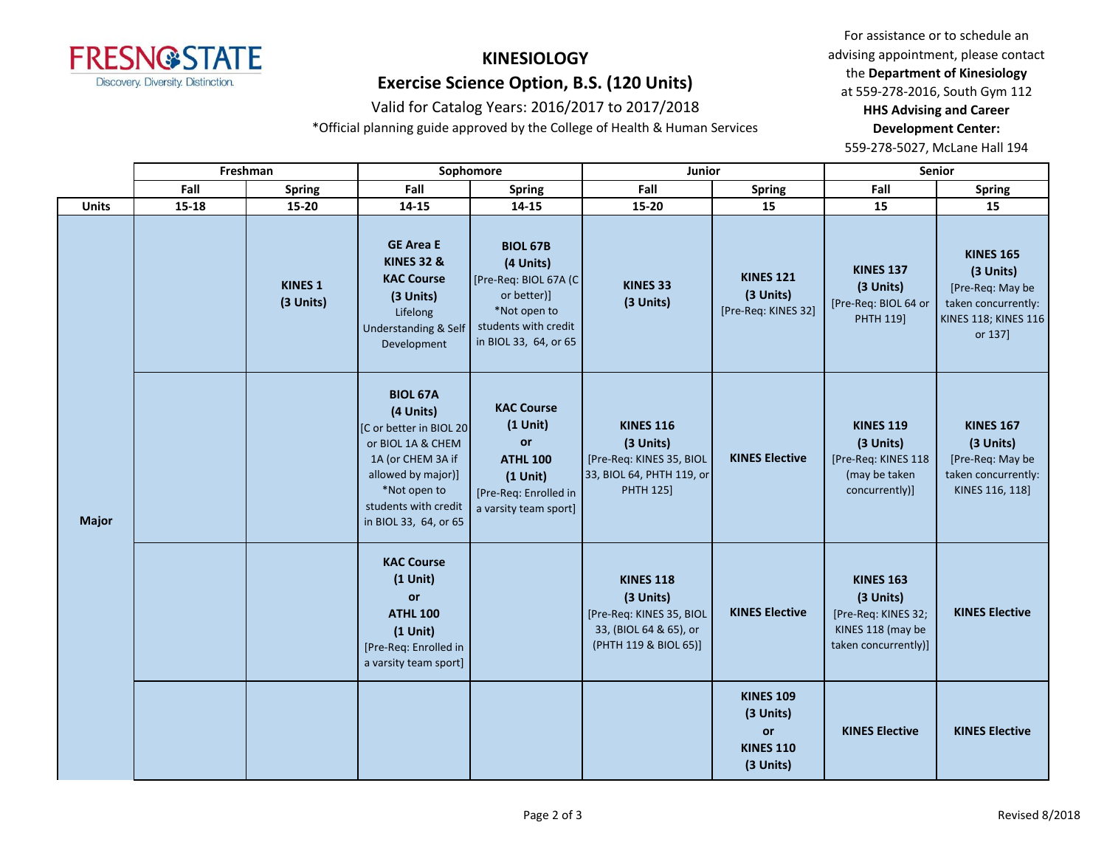

# **KINESIOLOGY Exercise Science Option, B.S. (120 Units)**

### Valid for Catalog Years: 2016/2017 to 2017/2018

\*Official planning guide approved by the College of Health & Human Services

For assistance or to schedule an advising appointment, please contact the **Department of Kinesiology** at 559-278-2016, South Gym 112 **HHS Advising and Career Development Center:** 

|              |       | Freshman                    |                                                                                                                                                                                          | Sophomore                                                                                                                             | Junior                                                                                                       |                                                                             |                                                                                                   | <b>Senior</b>                                                                                               |
|--------------|-------|-----------------------------|------------------------------------------------------------------------------------------------------------------------------------------------------------------------------------------|---------------------------------------------------------------------------------------------------------------------------------------|--------------------------------------------------------------------------------------------------------------|-----------------------------------------------------------------------------|---------------------------------------------------------------------------------------------------|-------------------------------------------------------------------------------------------------------------|
|              | Fall  | <b>Spring</b>               | Fall                                                                                                                                                                                     | <b>Spring</b>                                                                                                                         | Fall                                                                                                         | <b>Spring</b>                                                               | Fall                                                                                              | <b>Spring</b>                                                                                               |
| <b>Units</b> | 15-18 | 15-20                       | 14-15                                                                                                                                                                                    | 14-15                                                                                                                                 | 15-20                                                                                                        | 15                                                                          | 15                                                                                                | 15                                                                                                          |
|              |       | <b>KINES 1</b><br>(3 Units) | <b>GE Area E</b><br><b>KINES 32 &amp;</b><br><b>KAC Course</b><br>(3 Units)<br>Lifelong<br><b>Understanding &amp; Self</b><br>Development                                                | <b>BIOL 67B</b><br>(4 Units)<br>[Pre-Req: BIOL 67A (C<br>or better)]<br>*Not open to<br>students with credit<br>in BIOL 33, 64, or 65 | KINES 33<br>(3 Units)                                                                                        | <b>KINES 121</b><br>(3 Units)<br>[Pre-Req: KINES 32]                        | <b>KINES 137</b><br>(3 Units)<br>[Pre-Req: BIOL 64 or<br>PHTH 119]                                | <b>KINES 165</b><br>(3 Units)<br>[Pre-Req: May be<br>taken concurrently:<br>KINES 118; KINES 116<br>or 137] |
| <b>Major</b> |       |                             | <b>BIOL 67A</b><br>(4 Units)<br>[C or better in BIOL 20<br>or BIOL 1A & CHEM<br>1A (or CHEM 3A if<br>allowed by major)]<br>*Not open to<br>students with credit<br>in BIOL 33, 64, or 65 | <b>KAC Course</b><br>$(1$ Unit)<br>or<br><b>ATHL 100</b><br>$(1$ Unit)<br>[Pre-Req: Enrolled in<br>a varsity team sport]              | <b>KINES 116</b><br>(3 Units)<br>[Pre-Req: KINES 35, BIOL<br>33, BIOL 64, PHTH 119, or<br><b>PHTH 125]</b>   | <b>KINES Elective</b>                                                       | <b>KINES 119</b><br>(3 Units)<br>[Pre-Req: KINES 118<br>(may be taken<br>concurrently)]           | <b>KINES 167</b><br>(3 Units)<br>[Pre-Req: May be<br>taken concurrently:<br>KINES 116, 118]                 |
|              |       |                             | <b>KAC Course</b><br>$(1$ Unit)<br>or<br><b>ATHL 100</b><br>$(1$ Unit)<br>[Pre-Req: Enrolled in<br>a varsity team sport]                                                                 |                                                                                                                                       | <b>KINES 118</b><br>(3 Units)<br>[Pre-Req: KINES 35, BIOL<br>33, (BIOL 64 & 65), or<br>(PHTH 119 & BIOL 65)] | <b>KINES Elective</b>                                                       | <b>KINES 163</b><br>(3 Units)<br>[Pre-Req: KINES 32;<br>KINES 118 (may be<br>taken concurrently)] | <b>KINES Elective</b>                                                                                       |
|              |       |                             |                                                                                                                                                                                          |                                                                                                                                       |                                                                                                              | <b>KINES 109</b><br>(3 Units)<br><b>or</b><br><b>KINES 110</b><br>(3 Units) | <b>KINES Elective</b>                                                                             | <b>KINES Elective</b>                                                                                       |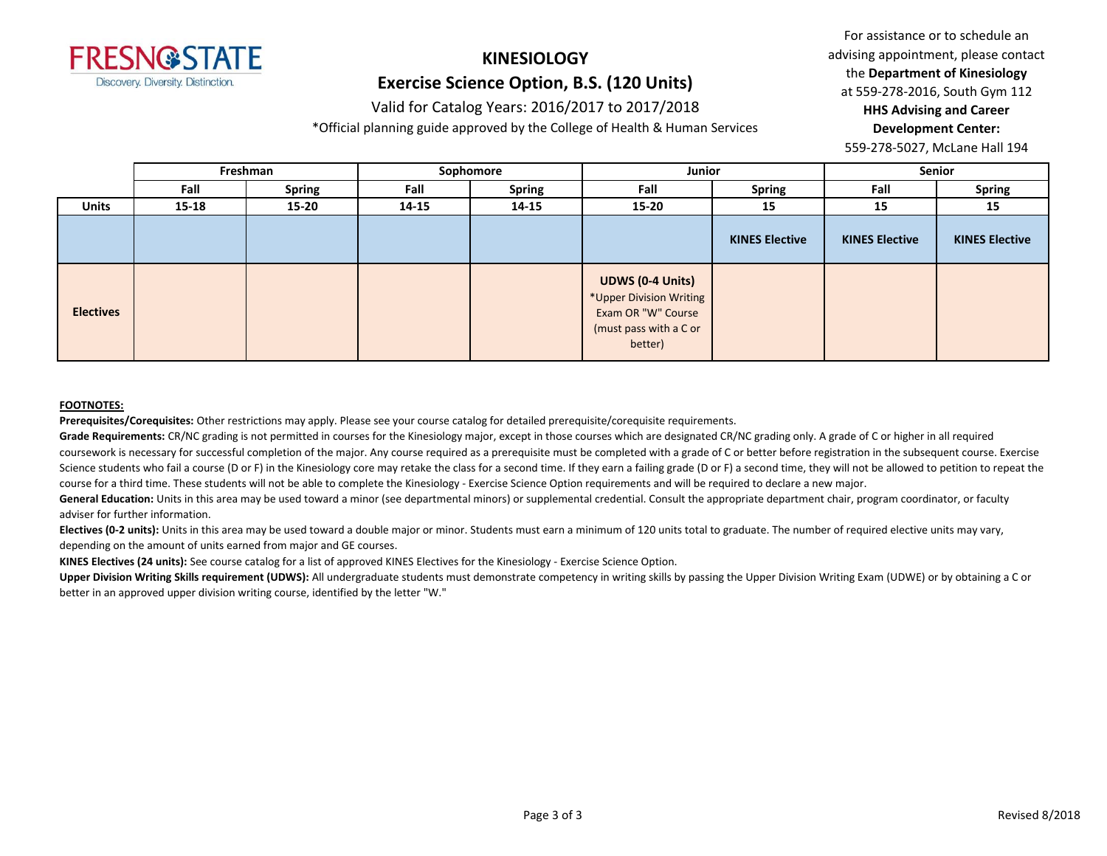

# **KINESIOLOGY Exercise Science Option, B.S. (120 Units)**

#### Valid for Catalog Years: 2016/2017 to 2017/2018

\*Official planning guide approved by the College of Health & Human Services

For assistance or to schedule an advising appointment, please contact the **Department of Kinesiology** at 559-278-2016, South Gym 112 **HHS Advising and Career Development Center:** 

559-278-5027, McLane Hall 194

|                  |       | Freshman      | Sophomore |               | Junior                                                                                                        |                       | <b>Senior</b>         |                       |
|------------------|-------|---------------|-----------|---------------|---------------------------------------------------------------------------------------------------------------|-----------------------|-----------------------|-----------------------|
|                  | Fall  | <b>Spring</b> | Fall      | <b>Spring</b> | Fall                                                                                                          | <b>Spring</b>         | Fall                  | <b>Spring</b>         |
| <b>Units</b>     | 15-18 | 15-20         | 14-15     | $14 - 15$     | $15 - 20$                                                                                                     | 15                    | 15                    | 15                    |
|                  |       |               |           |               |                                                                                                               | <b>KINES Elective</b> | <b>KINES Elective</b> | <b>KINES Elective</b> |
| <b>Electives</b> |       |               |           |               | <b>UDWS (0-4 Units)</b><br>*Upper Division Writing<br>Exam OR "W" Course<br>(must pass with a C or<br>better) |                       |                       |                       |

#### **FOOTNOTES:**

**Prerequisites/Corequisites:** Other restrictions may apply. Please see your course catalog for detailed prerequisite/corequisite requirements.

Grade Requirements: CR/NC grading is not permitted in courses for the Kinesiology major, except in those courses which are designated CR/NC grading only. A grade of C or higher in all required coursework is necessary for successful completion of the major. Any course required as a prerequisite must be completed with a grade of C or better before registration in the subsequent course. Exercise Science students who fail a course (D or F) in the Kinesiology core may retake the class for a second time. If they earn a failing grade (D or F) a second time, they will not be allowed to petition to repeat the course for a third time. These students will not be able to complete the Kinesiology - Exercise Science Option requirements and will be required to declare a new major.

General Education: Units in this area may be used toward a minor (see departmental minors) or supplemental credential. Consult the appropriate department chair, program coordinator, or faculty adviser for further information.

Electives (0-2 units): Units in this area may be used toward a double major or minor. Students must earn a minimum of 120 units total to graduate. The number of required elective units may vary, depending on the amount of units earned from major and GE courses.

**KINES Electives (24 units):** See course catalog for a list of approved KINES Electives for the Kinesiology - Exercise Science Option.

**Upper Division Writing Skills requirement (UDWS):** All undergraduate students must demonstrate competency in writing skills by passing the Upper Division Writing Exam (UDWE) or by obtaining a C or better in an approved upper division writing course, identified by the letter "W."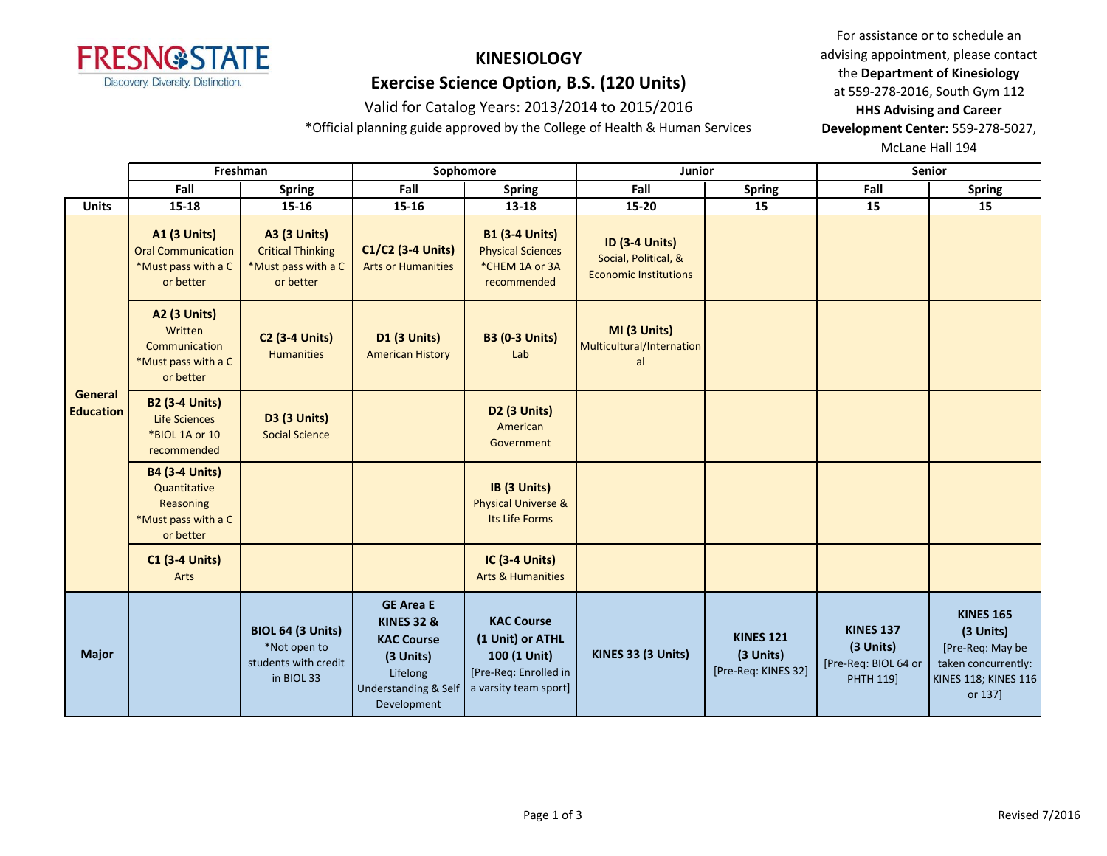

# Valid for Catalog Years: 2013/2014 to 2015/2016 **HHS Advising and Career**

\*Official planning guide approved by the College of Health & Human Services **Development Center:** 559-278-5027,

For assistance or to schedule an **KINESIOLOGY** advising appointment, please contact the **Department** of Kinesiology the **Department of Kinesiology Exercise Science Option, B.S. (120 Units)** at 559-278-2016, South Gym 112

McLane Hall 194

|                                    |                                                                                        | Freshman                                                                            |                                                                                                                                           | Sophomore                                                                                               | Junior                                                                        |                                                      | <b>Senior</b>                                                      |                                                                                                             |
|------------------------------------|----------------------------------------------------------------------------------------|-------------------------------------------------------------------------------------|-------------------------------------------------------------------------------------------------------------------------------------------|---------------------------------------------------------------------------------------------------------|-------------------------------------------------------------------------------|------------------------------------------------------|--------------------------------------------------------------------|-------------------------------------------------------------------------------------------------------------|
|                                    | Fall                                                                                   | <b>Spring</b>                                                                       | Fall                                                                                                                                      | <b>Spring</b>                                                                                           | Fall                                                                          | <b>Spring</b>                                        | Fall                                                               | <b>Spring</b>                                                                                               |
| <b>Units</b>                       | 15-18                                                                                  | $15 - 16$                                                                           | 15-16                                                                                                                                     | 13-18                                                                                                   | 15-20                                                                         | 15                                                   | 15                                                                 | 15                                                                                                          |
|                                    | <b>A1 (3 Units)</b><br><b>Oral Communication</b><br>*Must pass with a C<br>or better   | <b>A3 (3 Units)</b><br><b>Critical Thinking</b><br>*Must pass with a C<br>or better | C1/C2 (3-4 Units)<br><b>Arts or Humanities</b>                                                                                            | <b>B1 (3-4 Units)</b><br><b>Physical Sciences</b><br>*CHEM 1A or 3A<br>recommended                      | <b>ID (3-4 Units)</b><br>Social, Political, &<br><b>Economic Institutions</b> |                                                      |                                                                    |                                                                                                             |
|                                    | <b>A2 (3 Units)</b><br>Written<br>Communication<br>*Must pass with a C<br>or better    | <b>C2 (3-4 Units)</b><br><b>Humanities</b>                                          | <b>D1 (3 Units)</b><br><b>American History</b>                                                                                            | <b>B3 (0-3 Units)</b><br>Lab                                                                            | MI (3 Units)<br>Multicultural/Internation<br>al                               |                                                      |                                                                    |                                                                                                             |
| <b>General</b><br><b>Education</b> | <b>B2 (3-4 Units)</b><br><b>Life Sciences</b><br>*BIOL 1A or 10<br>recommended         | <b>D3 (3 Units)</b><br><b>Social Science</b>                                        |                                                                                                                                           | D2 (3 Units)<br>American<br>Government                                                                  |                                                                               |                                                      |                                                                    |                                                                                                             |
|                                    | <b>B4 (3-4 Units)</b><br>Quantitative<br>Reasoning<br>*Must pass with a C<br>or better |                                                                                     |                                                                                                                                           | IB (3 Units)<br><b>Physical Universe &amp;</b><br>Its Life Forms                                        |                                                                               |                                                      |                                                                    |                                                                                                             |
|                                    | <b>C1 (3-4 Units)</b><br>Arts                                                          |                                                                                     |                                                                                                                                           | <b>IC (3-4 Units)</b><br><b>Arts &amp; Humanities</b>                                                   |                                                                               |                                                      |                                                                    |                                                                                                             |
| <b>Major</b>                       |                                                                                        | <b>BIOL 64 (3 Units)</b><br>*Not open to<br>students with credit<br>in BIOL 33      | <b>GE Area E</b><br><b>KINES 32 &amp;</b><br><b>KAC Course</b><br>(3 Units)<br>Lifelong<br><b>Understanding &amp; Self</b><br>Development | <b>KAC Course</b><br>(1 Unit) or ATHL<br>100 (1 Unit)<br>[Pre-Req: Enrolled in<br>a varsity team sport] | KINES 33 (3 Units)                                                            | <b>KINES 121</b><br>(3 Units)<br>[Pre-Req: KINES 32] | <b>KINES 137</b><br>(3 Units)<br>[Pre-Req: BIOL 64 or<br>PHTH 119] | <b>KINES 165</b><br>(3 Units)<br>[Pre-Req: May be<br>taken concurrently:<br>KINES 118; KINES 116<br>or 137] |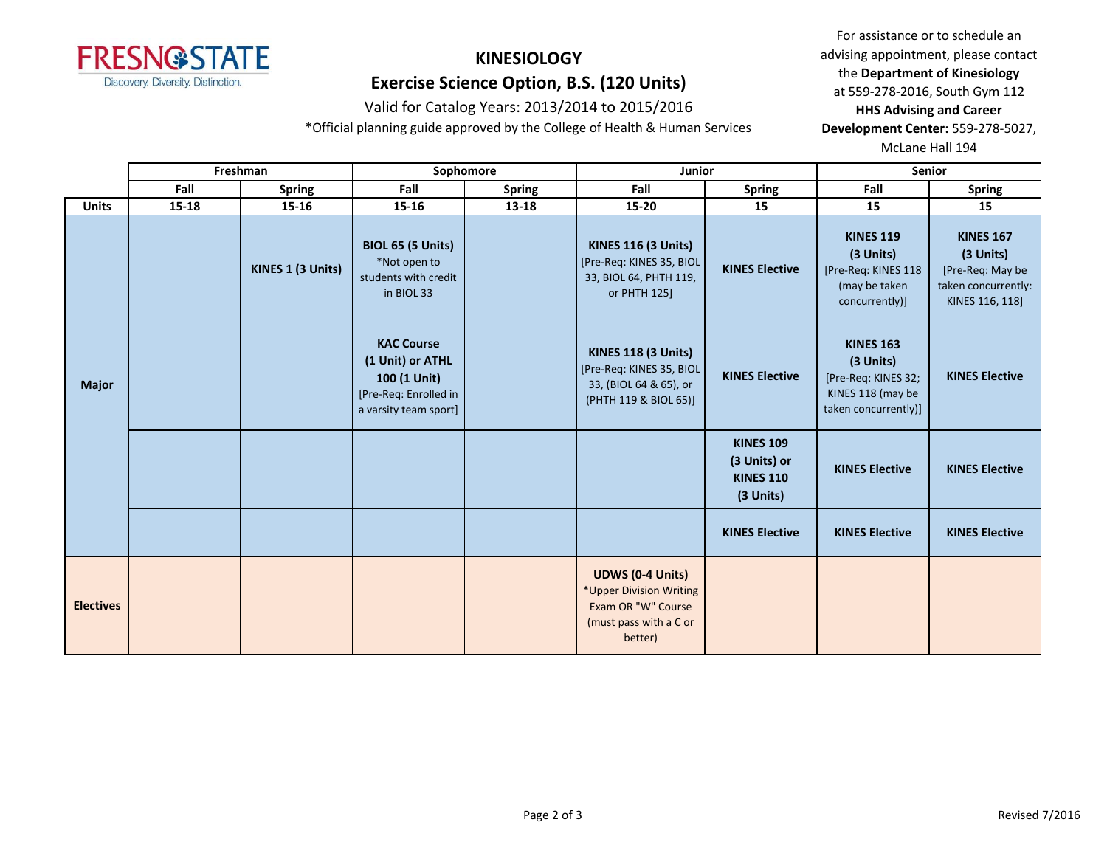

### Valid for Catalog Years: 2013/2014 to 2015/2016 **HHS Advising and Career**

\*Official planning guide approved by the College of Health & Human Services **Development Center:** 559-278-5027,

For assistance or to schedule an **KINESIOLOGY** advising appointment, please contact the **Department** of Kinesiology the **Department of Kinesiology Exercise Science Option, B.S. (120 Units)** at 559-278-2016, South Gym 112

McLane Hall 194

|                  |       | Freshman          |                                                                                                         | Sophomore     | Junior                                                                                                        |                                                                   | Senior                                                                                            |                                                                                             |
|------------------|-------|-------------------|---------------------------------------------------------------------------------------------------------|---------------|---------------------------------------------------------------------------------------------------------------|-------------------------------------------------------------------|---------------------------------------------------------------------------------------------------|---------------------------------------------------------------------------------------------|
|                  | Fall  | <b>Spring</b>     | Fall                                                                                                    | <b>Spring</b> | Fall                                                                                                          | <b>Spring</b>                                                     | Fall                                                                                              | <b>Spring</b>                                                                               |
| <b>Units</b>     | 15-18 | 15-16             | $15 - 16$                                                                                               | 13-18         | 15-20                                                                                                         | 15                                                                | 15                                                                                                | 15                                                                                          |
|                  |       | KINES 1 (3 Units) | <b>BIOL 65 (5 Units)</b><br>*Not open to<br>students with credit<br>in BIOL 33                          |               | <b>KINES 116 (3 Units)</b><br>[Pre-Req: KINES 35, BIOL<br>33, BIOL 64, PHTH 119,<br>or PHTH 125]              | <b>KINES Elective</b>                                             | <b>KINES 119</b><br>(3 Units)<br>[Pre-Req: KINES 118<br>(may be taken<br>concurrently)]           | <b>KINES 167</b><br>(3 Units)<br>[Pre-Req: May be<br>taken concurrently:<br>KINES 116, 118] |
| <b>Major</b>     |       |                   | <b>KAC Course</b><br>(1 Unit) or ATHL<br>100 (1 Unit)<br>[Pre-Req: Enrolled in<br>a varsity team sport] |               | <b>KINES 118 (3 Units)</b><br>[Pre-Req: KINES 35, BIOL<br>33, (BIOL 64 & 65), or<br>(PHTH 119 & BIOL 65)]     | <b>KINES Elective</b>                                             | <b>KINES 163</b><br>(3 Units)<br>[Pre-Req: KINES 32;<br>KINES 118 (may be<br>taken concurrently)] | <b>KINES Elective</b>                                                                       |
|                  |       |                   |                                                                                                         |               |                                                                                                               | <b>KINES 109</b><br>(3 Units) or<br><b>KINES 110</b><br>(3 Units) | <b>KINES Elective</b>                                                                             | <b>KINES Elective</b>                                                                       |
|                  |       |                   |                                                                                                         |               |                                                                                                               | <b>KINES Elective</b>                                             | <b>KINES Elective</b>                                                                             | <b>KINES Elective</b>                                                                       |
| <b>Electives</b> |       |                   |                                                                                                         |               | <b>UDWS (0-4 Units)</b><br>*Upper Division Writing<br>Exam OR "W" Course<br>(must pass with a C or<br>better) |                                                                   |                                                                                                   |                                                                                             |